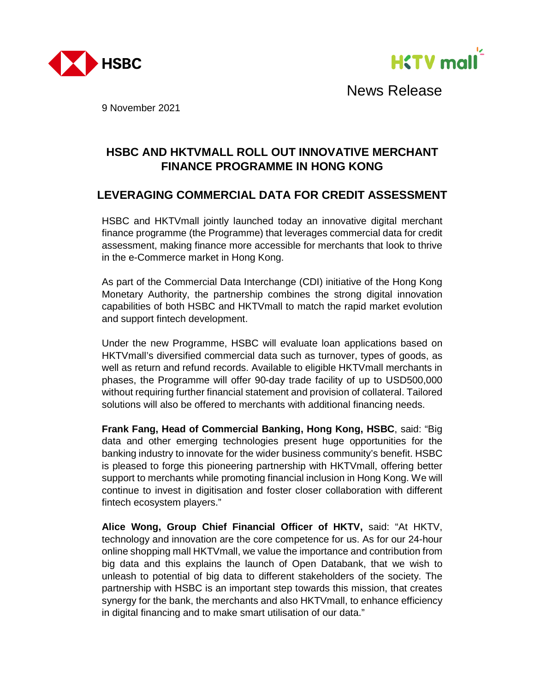



News Release

9 November 2021

# **HSBC AND HKTVMALL ROLL OUT INNOVATIVE MERCHANT FINANCE PROGRAMME IN HONG KONG**

# **LEVERAGING COMMERCIAL DATA FOR CREDIT ASSESSMENT**

HSBC and HKTVmall jointly launched today an innovative digital merchant finance programme (the Programme) that leverages commercial data for credit assessment, making finance more accessible for merchants that look to thrive in the e-Commerce market in Hong Kong.

As part of the Commercial Data Interchange (CDI) initiative of the Hong Kong Monetary Authority, the partnership combines the strong digital innovation capabilities of both HSBC and HKTVmall to match the rapid market evolution and support fintech development.

Under the new Programme, HSBC will evaluate loan applications based on HKTVmall's diversified commercial data such as turnover, types of goods, as well as return and refund records. Available to eligible HKTVmall merchants in phases, the Programme will offer 90-day trade facility of up to USD500,000 without requiring further financial statement and provision of collateral. Tailored solutions will also be offered to merchants with additional financing needs.

**Frank Fang, Head of Commercial Banking, Hong Kong, HSBC**, said: "Big data and other emerging technologies present huge opportunities for the banking industry to innovate for the wider business community's benefit. HSBC is pleased to forge this pioneering partnership with HKTVmall, offering better support to merchants while promoting financial inclusion in Hong Kong. We will continue to invest in digitisation and foster closer collaboration with different fintech ecosystem players."

**Alice Wong, Group Chief Financial Officer of HKTV,** said: "At HKTV, technology and innovation are the core competence for us. As for our 24-hour online shopping mall HKTVmall, we value the importance and contribution from big data and this explains the launch of Open Databank, that we wish to unleash to potential of big data to different stakeholders of the society. The partnership with HSBC is an important step towards this mission, that creates synergy for the bank, the merchants and also HKTVmall, to enhance efficiency in digital financing and to make smart utilisation of our data."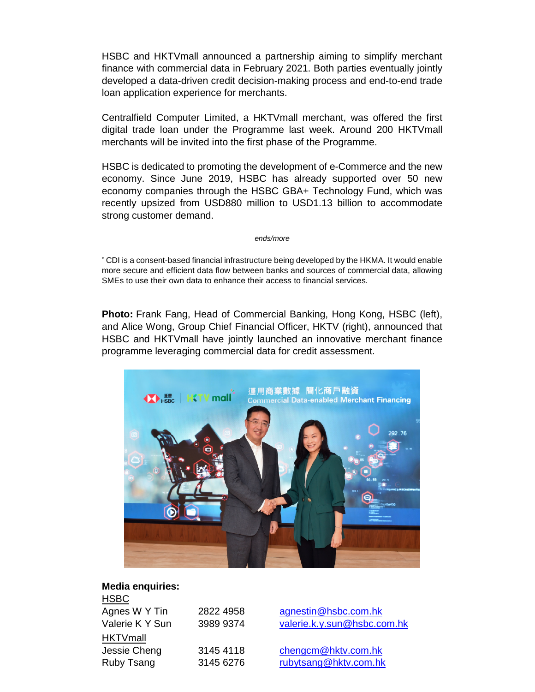HSBC and HKTVmall announced a partnership aiming to simplify merchant finance with commercial data in February 2021. Both parties eventually jointly developed a data-driven credit decision-making process and end-to-end trade loan application experience for merchants.

Centralfield Computer Limited, a HKTVmall merchant, was offered the first digital trade loan under the Programme last week. Around 200 HKTVmall merchants will be invited into the first phase of the Programme.

HSBC is dedicated to promoting the development of e-Commerce and the new economy. Since June 2019, HSBC has already supported over 50 new economy companies through the HSBC GBA+ Technology Fund, which was recently upsized from USD880 million to USD1.13 billion to accommodate strong customer demand.

*ends/more*

\* CDI is a consent-based financial infrastructure being developed by the HKMA. It would enable more secure and efficient data flow between banks and sources of commercial data, allowing SMEs to use their own data to enhance their access to financial services.

**Photo:** Frank Fang, Head of Commercial Banking, Hong Kong, HSBC (left), and Alice Wong, Group Chief Financial Officer, HKTV (right), announced that HSBC and HKTVmall have jointly launched an innovative merchant finance programme leveraging commercial data for credit assessment.



## **Media enquiries:**

| <b>HSBC</b>     |           |                             |
|-----------------|-----------|-----------------------------|
| Agnes W Y Tin   | 2822 4958 | agnestin@hsbc.com.hk        |
| Valerie K Y Sun | 3989 9374 | valerie.k.y.sun@hsbc.com.hk |
| <b>HKTVmall</b> |           |                             |
| Jessie Cheng    | 3145 4118 | chengcm@hktv.com.hk         |
| Ruby Tsang      | 3145 6276 | rubytsang@hktv.com.hk       |